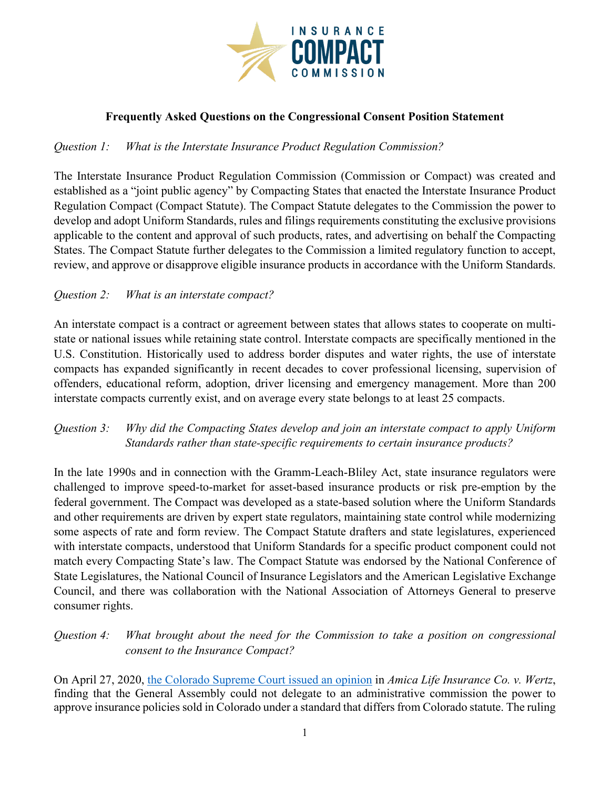

### **Frequently Asked Questions on the Congressional Consent Position Statement**

### *Question 1: What is the Interstate Insurance Product Regulation Commission?*

The Interstate Insurance Product Regulation Commission (Commission or Compact) was created and established as a "joint public agency" by Compacting States that enacted the Interstate Insurance Product Regulation Compact (Compact Statute). The Compact Statute delegates to the Commission the power to develop and adopt Uniform Standards, rules and filings requirements constituting the exclusive provisions applicable to the content and approval of such products, rates, and advertising on behalf the Compacting States. The Compact Statute further delegates to the Commission a limited regulatory function to accept, review, and approve or disapprove eligible insurance products in accordance with the Uniform Standards.

### *Question 2: What is an interstate compact?*

An interstate compact is a contract or agreement between states that allows states to cooperate on multistate or national issues while retaining state control. Interstate compacts are specifically mentioned in the U.S. Constitution. Historically used to address border disputes and water rights, the use of interstate compacts has expanded significantly in recent decades to cover professional licensing, supervision of offenders, educational reform, adoption, driver licensing and emergency management. More than 200 interstate compacts currently exist, and on average every state belongs to at least 25 compacts.

### *Question 3: Why did the Compacting States develop and join an interstate compact to apply Uniform Standards rather than state-specific requirements to certain insurance products?*

In the late 1990s and in connection with the Gramm-Leach-Bliley Act, state insurance regulators were challenged to improve speed-to-market for asset-based insurance products or risk pre-emption by the federal government. The Compact was developed as a state-based solution where the Uniform Standards and other requirements are driven by expert state regulators, maintaining state control while modernizing some aspects of rate and form review. The Compact Statute drafters and state legislatures, experienced with interstate compacts, understood that Uniform Standards for a specific product component could not match every Compacting State's law. The Compact Statute was endorsed by the National Conference of State Legislatures, the National Council of Insurance Legislators and the American Legislative Exchange Council, and there was collaboration with the National Association of Attorneys General to preserve consumer rights.

# *Question 4: What brought about the need for the Commission to take a position on congressional consent to the Insurance Compact?*

On April 27, 2020, [the Colorado Supreme Court issued an opinion](https://www.courts.state.co.us/userfiles/file/Court_Probation/Supreme_Court/Opinions/2019/19SA143.pdf) in *Amica Life Insurance Co. v. Wertz*, finding that the General Assembly could not delegate to an administrative commission the power to approve insurance policies sold in Colorado under a standard that differs from Colorado statute. The ruling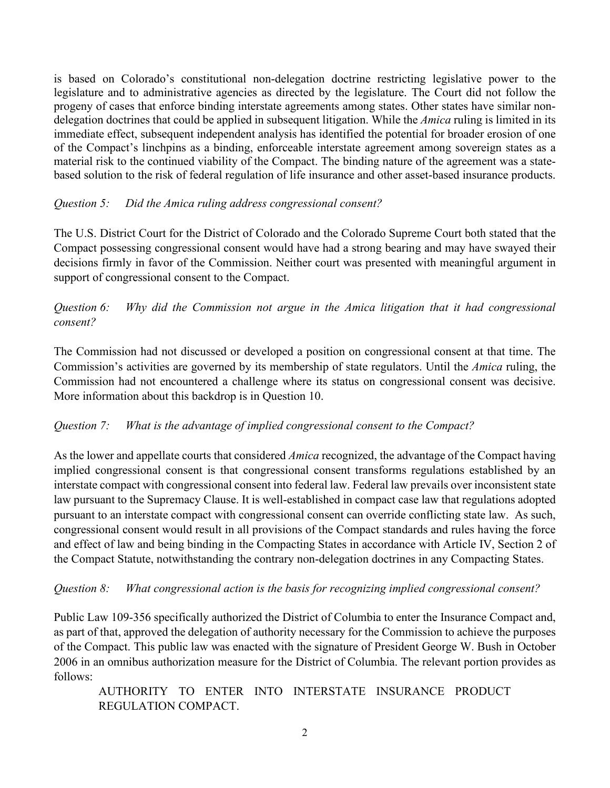is based on Colorado's constitutional non-delegation doctrine restricting legislative power to the legislature and to administrative agencies as directed by the legislature. The Court did not follow the progeny of cases that enforce binding interstate agreements among states. Other states have similar nondelegation doctrines that could be applied in subsequent litigation. While the *Amica* ruling is limited in its immediate effect, subsequent independent analysis has identified the potential for broader erosion of one of the Compact's linchpins as a binding, enforceable interstate agreement among sovereign states as a material risk to the continued viability of the Compact. The binding nature of the agreement was a statebased solution to the risk of federal regulation of life insurance and other asset-based insurance products.

### *Question 5: Did the Amica ruling address congressional consent?*

The U.S. District Court for the District of Colorado and the Colorado Supreme Court both stated that the Compact possessing congressional consent would have had a strong bearing and may have swayed their decisions firmly in favor of the Commission. Neither court was presented with meaningful argument in support of congressional consent to the Compact.

# *Question 6: Why did the Commission not argue in the Amica litigation that it had congressional consent?*

The Commission had not discussed or developed a position on congressional consent at that time. The Commission's activities are governed by its membership of state regulators. Until the *Amica* ruling, the Commission had not encountered a challenge where its status on congressional consent was decisive. More information about this backdrop is in Question 10.

# *Question 7: What is the advantage of implied congressional consent to the Compact?*

As the lower and appellate courts that considered *Amica* recognized, the advantage of the Compact having implied congressional consent is that congressional consent transforms regulations established by an interstate compact with congressional consent into federal law. Federal law prevails over inconsistent state law pursuant to the Supremacy Clause. It is well-established in compact case law that regulations adopted pursuant to an interstate compact with congressional consent can override conflicting state law. As such, congressional consent would result in all provisions of the Compact standards and rules having the force and effect of law and being binding in the Compacting States in accordance with Article IV, Section 2 of the Compact Statute, notwithstanding the contrary non-delegation doctrines in any Compacting States.

### *Question 8: What congressional action is the basis for recognizing implied congressional consent?*

Public Law 109-356 specifically authorized the District of Columbia to enter the Insurance Compact and, as part of that, approved the delegation of authority necessary for the Commission to achieve the purposes of the Compact. This public law was enacted with the signature of President George W. Bush in October 2006 in an omnibus authorization measure for the District of Columbia. The relevant portion provides as follows:

AUTHORITY TO ENTER INTO INTERSTATE INSURANCE PRODUCT REGULATION COMPACT.